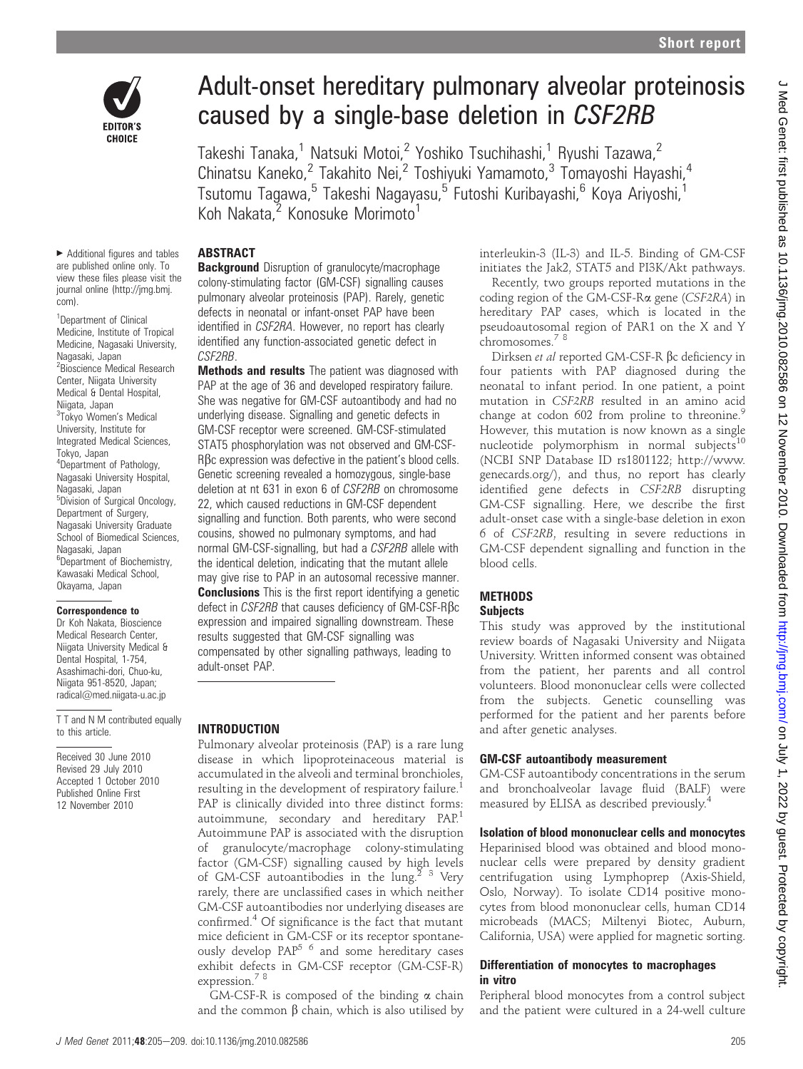

# Adult-onset hereditary pulmonary alveolar proteinosis caused by a single-base deletion in CSF2RB

Takeshi Tanaka,<sup>1</sup> Natsuki Motoi,<sup>2</sup> Yoshiko Tsuchihashi,<sup>1</sup> Ryushi Tazawa,<sup>2</sup> Chinatsu Kaneko,<sup>2</sup> Takahito Nei,<sup>2</sup> Toshiyuki Yamamoto,<sup>3</sup> Tomayoshi Hayashi,<sup>4</sup> Tsutomu Tagawa,<sup>5</sup> Takeshi Nagayasu,<sup>5</sup> Futoshi Kuribayashi,<sup>6</sup> Koya Ariyoshi,<sup>1</sup> Koh Nakata,<sup>2</sup> Konosuke Morimoto<sup>1</sup>

#### $\blacktriangleright$  Additional figures and tables are published online only. To view these files please visit the journal online (http://jmg.bmj. com).

<sup>1</sup>Department of Clinical Medicine, Institute of Tropical Medicine, Nagasaki University, Nagasaki, Japan <sup>2</sup> Bioscience Medical Research Center, Niigata University Medical & Dental Hospital, Niigata, Japan <sup>3</sup>Tokyo Women's Medical University, Institute for Integrated Medical Sciences, Tokyo, Japan 4 Department of Pathology, Nagasaki University Hospital, Nagasaki, Japan 5 Division of Surgical Oncology, Department of Surgery, Nagasaki University Graduate School of Biomedical Sciences, Nagasaki, Japan <sup>6</sup>Department of Biochemistry, Kawasaki Medical School, Okayama, Japan

#### Correspondence to

Dr Koh Nakata, Bioscience Medical Research Center, Niigata University Medical & Dental Hospital, 1-754, Asashimachi-dori, Chuo-ku, Niigata 951-8520, Japan; radical@med.niigata-u.ac.jp

T T and N M contributed equally to this article.

Received 30 June 2010 Revised 29 July 2010 Accepted 1 October 2010 Published Online First 12 November 2010

# ABSTRACT

**Background** Disruption of granulocyte/macrophage colony-stimulating factor (GM-CSF) signalling causes pulmonary alveolar proteinosis (PAP). Rarely, genetic defects in neonatal or infant-onset PAP have been identified in CSF2RA. However, no report has clearly identified any function-associated genetic defect in CSF2RB.

**Methods and results** The patient was diagnosed with PAP at the age of 36 and developed respiratory failure. She was negative for GM-CSF autoantibody and had no underlying disease. Signalling and genetic defects in GM-CSF receptor were screened. GM-CSF-stimulated STAT5 phosphorylation was not observed and GM-CSF-RBc expression was defective in the patient's blood cells. Genetic screening revealed a homozygous, single-base deletion at nt 631 in exon 6 of CSF2RB on chromosome 22, which caused reductions in GM-CSF dependent signalling and function. Both parents, who were second cousins, showed no pulmonary symptoms, and had normal GM-CSF-signalling, but had a CSF2RB allele with the identical deletion, indicating that the mutant allele may give rise to PAP in an autosomal recessive manner. **Conclusions** This is the first report identifying a genetic defect in CSF2RB that causes deficiency of GM-CSF-Rβc expression and impaired signalling downstream. These results suggested that GM-CSF signalling was

compensated by other signalling pathways, leading to adult-onset PAP.

# INTRODUCTION

Pulmonary alveolar proteinosis (PAP) is a rare lung disease in which lipoproteinaceous material is accumulated in the alveoli and terminal bronchioles, resulting in the development of respiratory failure. PAP is clinically divided into three distinct forms: autoimmune, secondary and hereditary PAP.<sup>1</sup> Autoimmune PAP is associated with the disruption of granulocyte/macrophage colony-stimulating factor (GM-CSF) signalling caused by high levels of GM-CSF autoantibodies in the lung.<sup>2</sup> <sup>3</sup> Very rarely, there are unclassified cases in which neither GM-CSF autoantibodies nor underlying diseases are confirmed.4 Of significance is the fact that mutant mice deficient in GM-CSF or its receptor spontaneously develop  $PAP^{5.6}$  and some hereditary cases exhibit defects in GM-CSF receptor (GM-CSF-R) expression.<sup>78</sup>

GM-CSF-R is composed of the binding  $\alpha$  chain and the common  $\beta$  chain, which is also utilised by interleukin-3 (IL-3) and IL-5. Binding of GM-CSF initiates the Jak2, STAT5 and PI3K/Akt pathways.

Recently, two groups reported mutations in the coding region of the GM-CSF-Ra gene (CSF2RA) in hereditary PAP cases, which is located in the pseudoautosomal region of PAR1 on the X and Y chromosomes.<sup>7</sup> <sup>8</sup>

Dirksen et al reported GM-CSF-R bc deficiency in four patients with PAP diagnosed during the neonatal to infant period. In one patient, a point mutation in CSF2RB resulted in an amino acid change at codon 602 from proline to threonine.<sup>9</sup> However, this mutation is now known as a single nucleotide polymorphism in normal subjects $10$ (NCBI SNP Database ID rs1801122; http://www. genecards.org/), and thus, no report has clearly identified gene defects in CSF2RB disrupting GM-CSF signalling. Here, we describe the first adult-onset case with a single-base deletion in exon 6 of CSF2RB, resulting in severe reductions in GM-CSF dependent signalling and function in the blood cells.

# **METHODS**

# **Subjects**

This study was approved by the institutional review boards of Nagasaki University and Niigata University. Written informed consent was obtained from the patient, her parents and all control volunteers. Blood mononuclear cells were collected from the subjects. Genetic counselling was performed for the patient and her parents before and after genetic analyses.

#### GM-CSF autoantibody measurement

GM-CSF autoantibody concentrations in the serum and bronchoalveolar lavage fluid (BALF) were measured by ELISA as described previously.4

#### Isolation of blood mononuclear cells and monocytes

Heparinised blood was obtained and blood mononuclear cells were prepared by density gradient centrifugation using Lymphoprep (Axis-Shield, Oslo, Norway). To isolate CD14 positive monocytes from blood mononuclear cells, human CD14 microbeads (MACS; Miltenyi Biotec, Auburn, California, USA) were applied for magnetic sorting.

#### Differentiation of monocytes to macrophages in vitro

Peripheral blood monocytes from a control subject and the patient were cultured in a 24-well culture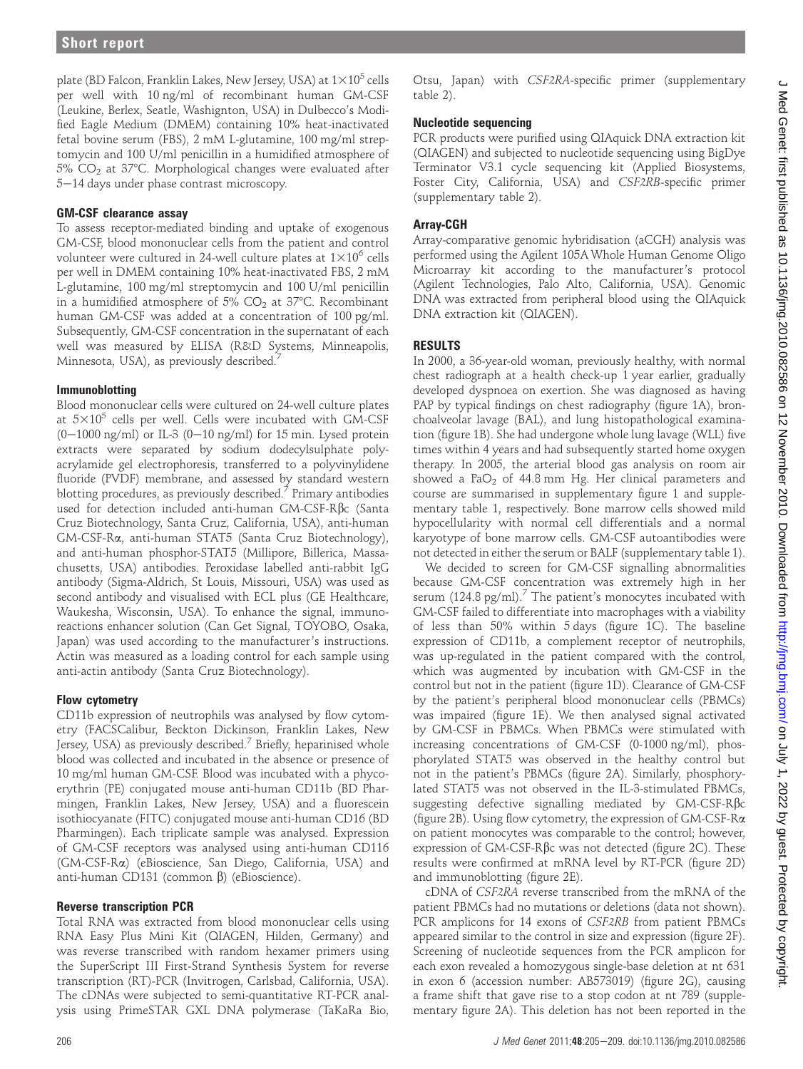plate (BD Falcon, Franklin Lakes, New Jersey, USA) at  $1\times10^5$  cells per well with 10 ng/ml of recombinant human GM-CSF (Leukine, Berlex, Seatle, Washignton, USA) in Dulbecco's Modified Eagle Medium (DMEM) containing 10% heat-inactivated fetal bovine serum (FBS), 2 mM L-glutamine, 100 mg/ml streptomycin and 100 U/ml penicillin in a humidified atmosphere of  $5\%$  CO<sub>2</sub> at  $37^{\circ}$ C. Morphological changes were evaluated after 5-14 days under phase contrast microscopy.

#### GM-CSF clearance assay

To assess receptor-mediated binding and uptake of exogenous GM-CSF, blood mononuclear cells from the patient and control volunteer were cultured in 24-well culture plates at  $1\times10^6$  cells per well in DMEM containing 10% heat-inactivated FBS, 2 mM L-glutamine, 100 mg/ml streptomycin and 100 U/ml penicillin in a humidified atmosphere of 5%  $CO<sub>2</sub>$  at 37°C. Recombinant human GM-CSF was added at a concentration of 100 pg/ml. Subsequently, GM-CSF concentration in the supernatant of each well was measured by ELISA (R&D Systems, Minneapolis, Minnesota, USA), as previously described.<sup>7</sup>

#### Immunoblotting

Blood mononuclear cells were cultured on 24-well culture plates at  $5\times10^5$  cells per well. Cells were incubated with GM-CSF  $(0-1000 \text{ ng/ml})$  or IL-3  $(0-10 \text{ ng/ml})$  for 15 min. Lysed protein extracts were separated by sodium dodecylsulphate polyacrylamide gel electrophoresis, transferred to a polyvinylidene fluoride (PVDF) membrane, and assessed by standard western blotting procedures, as previously described.<sup>7</sup> Primary antibodies used for detection included anti-human GM-CSF-Rbc (Santa Cruz Biotechnology, Santa Cruz, California, USA), anti-human GM-CSF-Ra, anti-human STAT5 (Santa Cruz Biotechnology), and anti-human phosphor-STAT5 (Millipore, Billerica, Massachusetts, USA) antibodies. Peroxidase labelled anti-rabbit IgG antibody (Sigma-Aldrich, St Louis, Missouri, USA) was used as second antibody and visualised with ECL plus (GE Healthcare, Waukesha, Wisconsin, USA). To enhance the signal, immunoreactions enhancer solution (Can Get Signal, TOYOBO, Osaka, Japan) was used according to the manufacturer's instructions. Actin was measured as a loading control for each sample using anti-actin antibody (Santa Cruz Biotechnology).

#### Flow cytometry

CD11b expression of neutrophils was analysed by flow cytometry (FACSCalibur, Beckton Dickinson, Franklin Lakes, New Jersey, USA) as previously described.<sup>7</sup> Briefly, heparinised whole blood was collected and incubated in the absence or presence of 10 mg/ml human GM-CSF. Blood was incubated with a phycoerythrin (PE) conjugated mouse anti-human CD11b (BD Pharmingen, Franklin Lakes, New Jersey, USA) and a fluorescein isothiocyanate (FITC) conjugated mouse anti-human CD16 (BD Pharmingen). Each triplicate sample was analysed. Expression of GM-CSF receptors was analysed using anti-human CD116 (GM-CSF-Ra) (eBioscience, San Diego, California, USA) and anti-human CD131 (common  $\beta$ ) (eBioscience).

#### Reverse transcription PCR

Total RNA was extracted from blood mononuclear cells using RNA Easy Plus Mini Kit (QIAGEN, Hilden, Germany) and was reverse transcribed with random hexamer primers using the SuperScript III First-Strand Synthesis System for reverse transcription (RT)-PCR (Invitrogen, Carlsbad, California, USA). The cDNAs were subjected to semi-quantitative RT-PCR analysis using PrimeSTAR GXL DNA polymerase (TaKaRa Bio,

Otsu, Japan) with CSF2RA-specific primer (supplementary table 2).

#### Nucleotide sequencing

PCR products were purified using QIAquick DNA extraction kit (QIAGEN) and subjected to nucleotide sequencing using BigDye Terminator V3.1 cycle sequencing kit (Applied Biosystems, Foster City, California, USA) and CSF2RB-specific primer (supplementary table 2).

#### Array-CGH

Array-comparative genomic hybridisation (aCGH) analysis was performed using the Agilent 105A Whole Human Genome Oligo Microarray kit according to the manufacturer's protocol (Agilent Technologies, Palo Alto, California, USA). Genomic DNA was extracted from peripheral blood using the QIAquick DNA extraction kit (QIAGEN).

## RESULTS

In 2000, a 36-year-old woman, previously healthy, with normal chest radiograph at a health check-up 1 year earlier, gradually developed dyspnoea on exertion. She was diagnosed as having PAP by typical findings on chest radiography (figure 1A), bronchoalveolar lavage (BAL), and lung histopathological examination (figure 1B). She had undergone whole lung lavage (WLL) five times within 4 years and had subsequently started home oxygen therapy. In 2005, the arterial blood gas analysis on room air showed a  $PaO<sub>2</sub>$  of 44.8 mm Hg. Her clinical parameters and course are summarised in supplementary figure 1 and supplementary table 1, respectively. Bone marrow cells showed mild hypocellularity with normal cell differentials and a normal karyotype of bone marrow cells. GM-CSF autoantibodies were not detected in either the serum or BALF (supplementary table 1).

We decided to screen for GM-CSF signalling abnormalities because GM-CSF concentration was extremely high in her serum (124.8 pg/ml).<sup>7</sup> The patient's monocytes incubated with GM-CSF failed to differentiate into macrophages with a viability of less than 50% within 5 days (figure 1C). The baseline expression of CD11b, a complement receptor of neutrophils, was up-regulated in the patient compared with the control, which was augmented by incubation with GM-CSF in the control but not in the patient (figure 1D). Clearance of GM-CSF by the patient's peripheral blood mononuclear cells (PBMCs) was impaired (figure 1E). We then analysed signal activated by GM-CSF in PBMCs. When PBMCs were stimulated with increasing concentrations of GM-CSF (0-1000 ng/ml), phosphorylated STAT5 was observed in the healthy control but not in the patient's PBMCs (figure 2A). Similarly, phosphorylated STAT5 was not observed in the IL-3-stimulated PBMCs, suggesting defective signalling mediated by GM-CSF-Rbc (figure 2B). Using flow cytometry, the expression of GM-CSF-Ra on patient monocytes was comparable to the control; however, expression of GM-CSF-Rbc was not detected (figure 2C). These results were confirmed at mRNA level by RT-PCR (figure 2D) and immunoblotting (figure 2E).

cDNA of CSF2RA reverse transcribed from the mRNA of the patient PBMCs had no mutations or deletions (data not shown). PCR amplicons for 14 exons of CSF2RB from patient PBMCs appeared similar to the control in size and expression (figure 2F). Screening of nucleotide sequences from the PCR amplicon for each exon revealed a homozygous single-base deletion at nt 631 in exon 6 (accession number: AB573019) (figure 2G), causing a frame shift that gave rise to a stop codon at nt 789 (supplementary figure 2A). This deletion has not been reported in the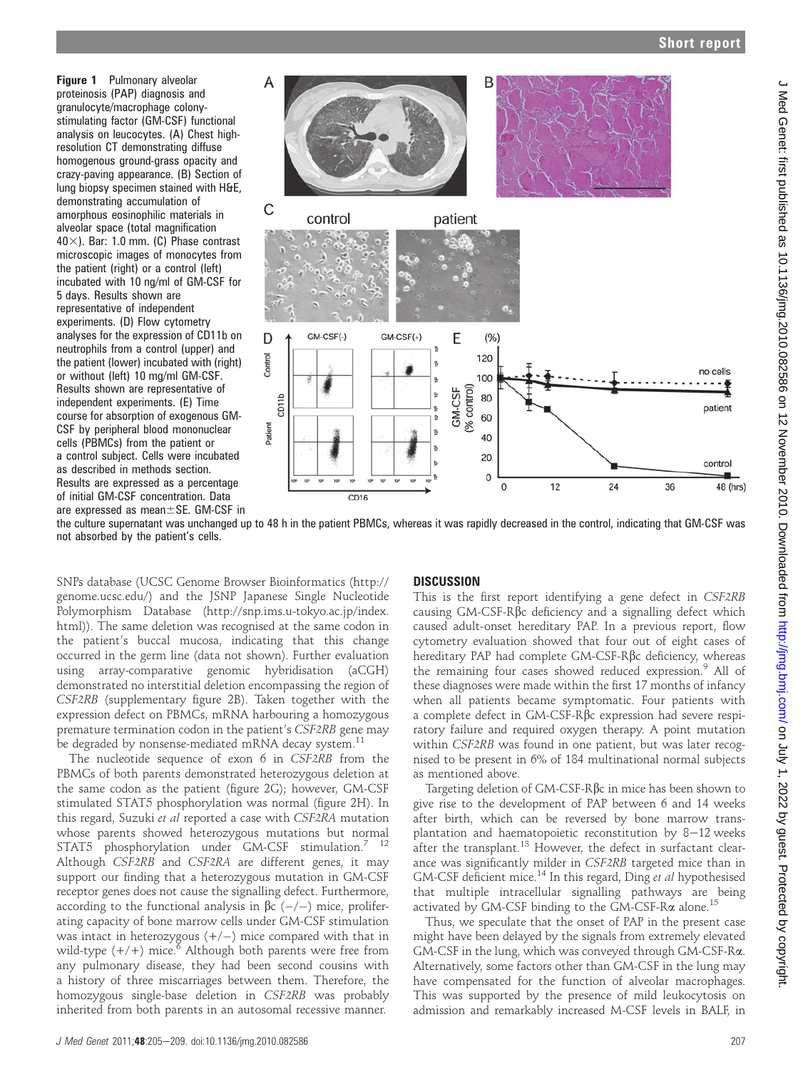Figure 1 Pulmonary alveolar proteinosis (PAP) diagnosis and granulocyte/macrophage colonystimulating factor (GM-CSF) functional analysis on leucocytes. (A) Chest highresolution CT demonstrating diffuse homogenous ground-grass opacity and crazy-paving appearance. (B) Section of lung biopsy specimen stained with H&E, demonstrating accumulation of amorphous eosinophilic materials in alveolar space (total magnification  $40\times$ ). Bar: 1.0 mm. (C) Phase contrast microscopic images of monocytes from the patient (right) or a control (left) incubated with 10 ng/ml of GM-CSF for 5 days. Results shown are representative of independent experiments. (D) Flow cytometry analyses for the expression of CD11b on neutrophils from a control (upper) and the patient (lower) incubated with (right) or without (left) 10 mg/ml GM-CSF. Results shown are representative of independent experiments. (E) Time course for absorption of exogenous GM-CSF by peripheral blood mononuclear cells (PBMCs) from the patient or a control subject. Cells were incubated as described in methods section. Results are expressed as a percentage of initial GM-CSF concentration. Data are expressed as mean $\pm$ SE. GM-CSF in



the culture supernatant was unchanged up to 48 h in the patient PBMCs, whereas it was rapidly decreased in the control, indicating that GM-CSF was not absorbed by the patient's cells.

SNPs database (UCSC Genome Browser Bioinformatics (http:// genome.ucsc.edu/) and the JSNP Japanese Single Nucleotide Polymorphism Database (http://snp.ims.u-tokyo.ac.jp/index. html)). The same deletion was recognised at the same codon in the patient's buccal mucosa, indicating that this change occurred in the germ line (data not shown). Further evaluation using array-comparative genomic hybridisation (aCGH) demonstrated no interstitial deletion encompassing the region of CSF2RB (supplementary figure 2B). Taken together with the expression defect on PBMCs, mRNA harbouring a homozygous premature termination codon in the patient's CSF2RB gene may be degraded by nonsense-mediated mRNA decay system.<sup>11</sup>

The nucleotide sequence of exon 6 in CSF2RB from the PBMCs of both parents demonstrated heterozygous deletion at the same codon as the patient (figure 2G); however, GM-CSF stimulated STAT5 phosphorylation was normal (figure 2H). In this regard, Suzuki et al reported a case with CSF2RA mutation whose parents showed heterozygous mutations but normal STAT5 phosphorylation under GM-CSF stimulation.<sup>7</sup> <sup>12</sup> Although CSF2RB and CSF2RA are different genes, it may support our finding that a heterozygous mutation in GM-CSF receptor genes does not cause the signalling defect. Furthermore, according to the functional analysis in  $\beta c$  (-/-) mice, proliferating capacity of bone marrow cells under GM-CSF stimulation was intact in heterozygous  $(+/-)$  mice compared with that in wild-type  $(+/+)$  mice.<sup>6</sup> Although both parents were free from any pulmonary disease, they had been second cousins with a history of three miscarriages between them. Therefore, the homozygous single-base deletion in CSF2RB was probably inherited from both parents in an autosomal recessive manner.

# **DISCUSSION**

This is the first report identifying a gene defect in CSF2RB causing GM-CSF-Rbc deficiency and a signalling defect which caused adult-onset hereditary PAP. In a previous report, flow cytometry evaluation showed that four out of eight cases of hereditary PAP had complete GM-CSF-Rbc deficiency, whereas the remaining four cases showed reduced expression.<sup>9</sup> All of these diagnoses were made within the first 17 months of infancy when all patients became symptomatic. Four patients with a complete defect in GM-CSF-Rbc expression had severe respiratory failure and required oxygen therapy. A point mutation within CSF2RB was found in one patient, but was later recognised to be present in 6% of 184 multinational normal subjects as mentioned above.

Targeting deletion of GM-CSF-Rbc in mice has been shown to give rise to the development of PAP between 6 and 14 weeks after birth, which can be reversed by bone marrow transplantation and haematopoietic reconstitution by  $8-12$  weeks after the transplant.<sup>13</sup> However, the defect in surfactant clearance was significantly milder in CSF2RB targeted mice than in GM-CSF deficient mice.<sup>14</sup> In this regard, Ding et al hypothesised that multiple intracellular signalling pathways are being activated by GM-CSF binding to the GM-CSF-R $\alpha$  alone.<sup>15</sup>

Thus, we speculate that the onset of PAP in the present case might have been delayed by the signals from extremely elevated GM-CSF in the lung, which was conveyed through GM-CSF-Ra. Alternatively, some factors other than GM-CSF in the lung may have compensated for the function of alveolar macrophages. This was supported by the presence of mild leukocytosis on admission and remarkably increased M-CSF levels in BALF, in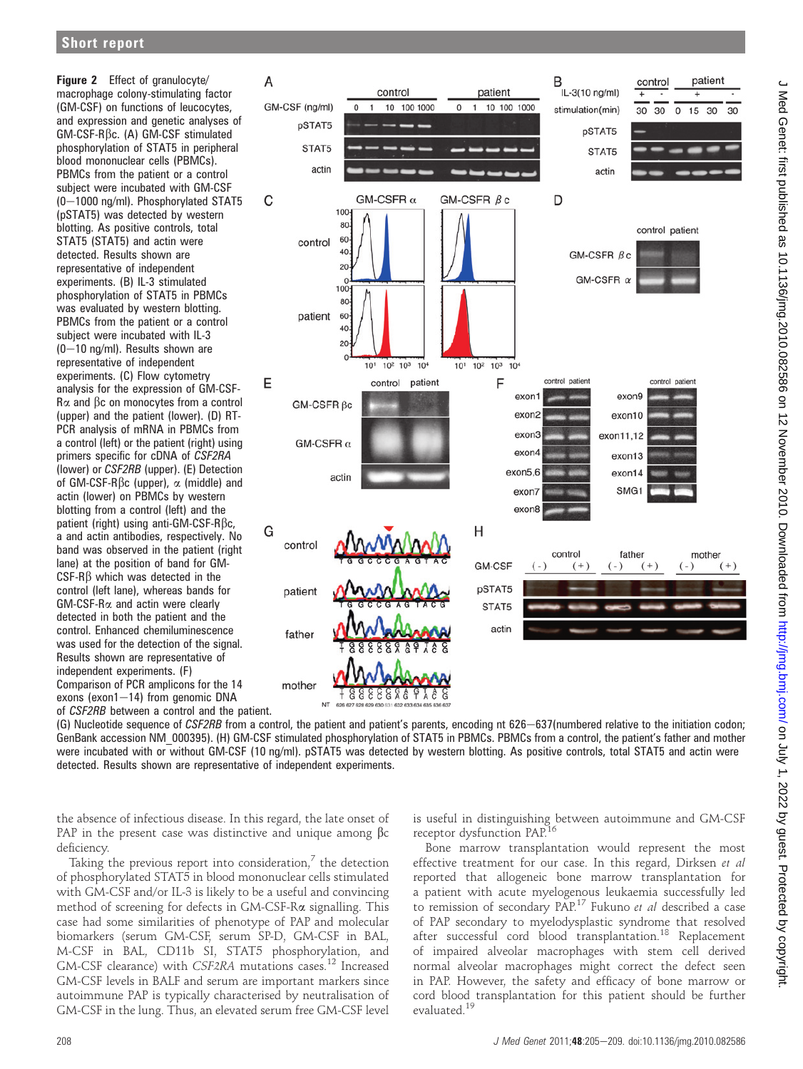Figure 2 Effect of granulocyte/ macrophage colony-stimulating factor (GM-CSF) on functions of leucocytes, and expression and genetic analyses of GM-CSF-Rbc. (A) GM-CSF stimulated phosphorylation of STAT5 in peripheral blood mononuclear cells (PBMCs). PBMCs from the patient or a control subject were incubated with GM-CSF  $(0-1000 \text{ ng/ml})$ . Phosphorylated STAT5 (pSTAT5) was detected by western blotting. As positive controls, total STAT5 (STAT5) and actin were detected. Results shown are representative of independent experiments. (B) IL-3 stimulated phosphorylation of STAT5 in PBMCs was evaluated by western blotting. PBMCs from the patient or a control subject were incubated with IL-3  $(0-10 \text{ ng/ml})$ . Results shown are representative of independent experiments. (C) Flow cytometry analysis for the expression of GM-CSF- $R\alpha$  and  $\beta c$  on monocytes from a control (upper) and the patient (lower). (D) RT-PCR analysis of mRNA in PBMCs from a control (left) or the patient (right) using primers specific for cDNA of CSF2RA (lower) or CSF2RB (upper). (E) Detection of GM-CSF-R $\beta$ c (upper),  $\alpha$  (middle) and actin (lower) on PBMCs by western blotting from a control (left) and the patient (right) using anti-GM-CSF-R $\beta$ c, a and actin antibodies, respectively. No band was observed in the patient (right lane) at the position of band for GM- $CSF-R\beta$  which was detected in the control (left lane), whereas bands for GM-CSF-Ra and actin were clearly detected in both the patient and the control. Enhanced chemiluminescence was used for the detection of the signal. Results shown are representative of independent experiments. (F) Comparison of PCR amplicons for the 14 exons (exon1 $-14$ ) from genomic DNA of CSF2RB between a control and the patient.



(G) Nucleotide sequence of CSF2RB from a control, the patient and patient's parents, encoding nt 626-637(numbered relative to the initiation codon; GenBank accession NM\_000395). (H) GM-CSF stimulated phosphorylation of STAT5 in PBMCs. PBMCs from a control, the patient's father and mother were incubated with or without GM-CSF (10 ng/ml). pSTAT5 was detected by western blotting. As positive controls, total STAT5 and actin were detected. Results shown are representative of independent experiments.

the absence of infectious disease. In this regard, the late onset of PAP in the present case was distinctive and unique among  $\beta c$ deficiency.

Taking the previous report into consideration, $\frac{7}{7}$  the detection of phosphorylated STAT5 in blood mononuclear cells stimulated with GM-CSF and/or IL-3 is likely to be a useful and convincing method of screening for defects in GM-CSF-Ra signalling. This case had some similarities of phenotype of PAP and molecular biomarkers (serum GM-CSF, serum SP-D, GM-CSF in BAL, M-CSF in BAL, CD11b SI, STAT5 phosphorylation, and GM-CSF clearance) with CSF2RA mutations cases.<sup>12</sup> Increased GM-CSF levels in BALF and serum are important markers since autoimmune PAP is typically characterised by neutralisation of GM-CSF in the lung. Thus, an elevated serum free GM-CSF level

is useful in distinguishing between autoimmune and GM-CSF receptor dysfunction PAP.16

Bone marrow transplantation would represent the most effective treatment for our case. In this regard, Dirksen et al reported that allogeneic bone marrow transplantation for a patient with acute myelogenous leukaemia successfully led to remission of secondary PAP.17 Fukuno et al described a case of PAP secondary to myelodysplastic syndrome that resolved after successful cord blood transplantation.<sup>18</sup> Replacement of impaired alveolar macrophages with stem cell derived normal alveolar macrophages might correct the defect seen in PAP. However, the safety and efficacy of bone marrow or cord blood transplantation for this patient should be further evaluated.<sup>19</sup>